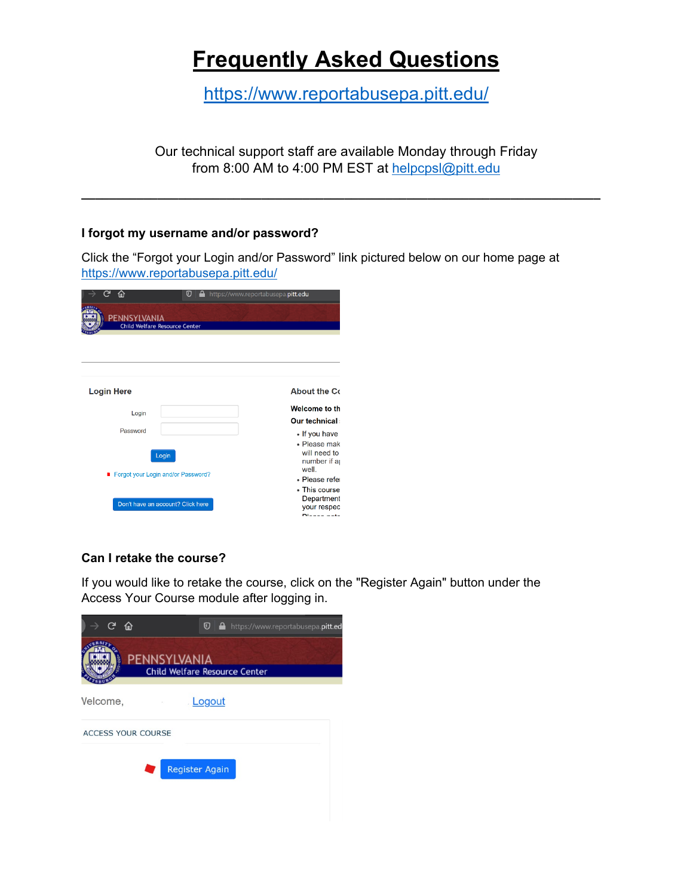# **Frequently Asked Questions**

<https://www.reportabusepa.pitt.edu/>

Our technical support staff are available Monday through Friday from 8:00 AM to 4:00 PM EST at [helpcpsl@pitt.edu](mailto:helpcpsl@pitt.edu)

**\_\_\_\_\_\_\_\_\_\_\_\_\_\_\_\_\_\_\_\_\_\_\_\_\_\_\_\_\_\_\_\_\_\_\_\_\_\_\_\_\_\_\_\_\_\_\_\_\_\_\_\_\_\_\_\_\_\_\_\_\_\_\_\_\_\_\_\_\_\_\_\_\_\_\_**

# **I forgot my username and/or password?**

Click the "Forgot your Login and/or Password" link pictured below on our home page at <https://www.reportabusepa.pitt.edu/>

| ې<br>⋒                                                                             | ⊙ |  | https://www.reportabusepa.pitt.edu |  |                                                                                                                                                      |
|------------------------------------------------------------------------------------|---|--|------------------------------------|--|------------------------------------------------------------------------------------------------------------------------------------------------------|
| <b>PENNSYLVANIA</b><br><b>Child Welfare Resource Center</b>                        |   |  |                                    |  |                                                                                                                                                      |
|                                                                                    |   |  |                                    |  |                                                                                                                                                      |
| <b>Login Here</b>                                                                  |   |  |                                    |  | <b>About the Co</b>                                                                                                                                  |
| Login                                                                              |   |  |                                    |  | <b>Welcome to th</b>                                                                                                                                 |
| Password                                                                           |   |  |                                    |  | Our technical:                                                                                                                                       |
| Login<br>■ Forgot your Login and/or Password?<br>Don't have an account? Click here |   |  |                                    |  | • If you have<br>• Please mak<br>will need to<br>number if a<br>well.<br>• Please refer<br>• This course<br>Department<br>your respec<br>Dissas pate |

# **Can I retake the course?**

If you would like to retake the course, click on the "Register Again" button under the Access Your Course module after logging in.

|          | $C$ $\hat{a}$ |                           |                       | $\mathbf{C} \mid \mathbf{A}$ https://www.reportabusepa.pitt.ed |
|----------|---------------|---------------------------|-----------------------|----------------------------------------------------------------|
|          |               |                           | PENNSYLVANIA          | <b>Child Welfare Resource Center</b>                           |
| Velcome, |               |                           | Logout                |                                                                |
|          |               | <b>ACCESS YOUR COURSE</b> |                       |                                                                |
|          |               |                           | <b>Register Again</b> |                                                                |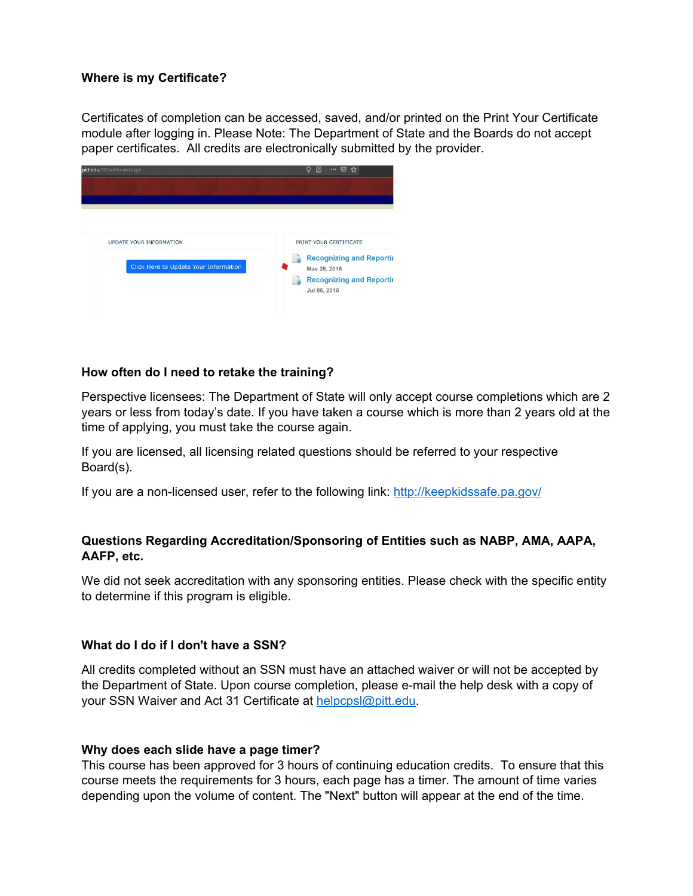# **Where is my Certificate?**

Certificates of completion can be accessed, saved, and/or printed on the Print Your Certificate module after logging in. Please Note: The Department of State and the Boards do not accept paper certificates. All credits are electronically submitted by the provider.



## **How often do I need to retake the training?**

Perspective licensees: The Department of State will only accept course completions which are 2 years or less from today's date. If you have taken a course which is more than 2 years old at the time of applying, you must take the course again.

If you are licensed, all licensing related questions should be referred to your respective Board(s).

If you are a non-licensed user, refer to the following link:<http://keepkidssafe.pa.gov/>

# **Questions Regarding Accreditation/Sponsoring of Entities such as NABP, AMA, AAPA, AAFP, etc.**

We did not seek accreditation with any sponsoring entities. Please check with the specific entity to determine if this program is eligible.

## **What do I do if I don't have a SSN?**

All credits completed without an SSN must have an attached waiver or will not be accepted by the Department of State. Upon course completion, please e-mail the help desk with a copy of your SSN Waiver and Act 31 Certificate at [helpcpsl@pitt.edu.](mailto:helpcpsl@pitt.edu)

#### **Why does each slide have a page timer?**

This course has been approved for 3 hours of continuing education credits. To ensure that this course meets the requirements for 3 hours, each page has a timer. The amount of time varies depending upon the volume of content. The "Next" button will appear at the end of the time.